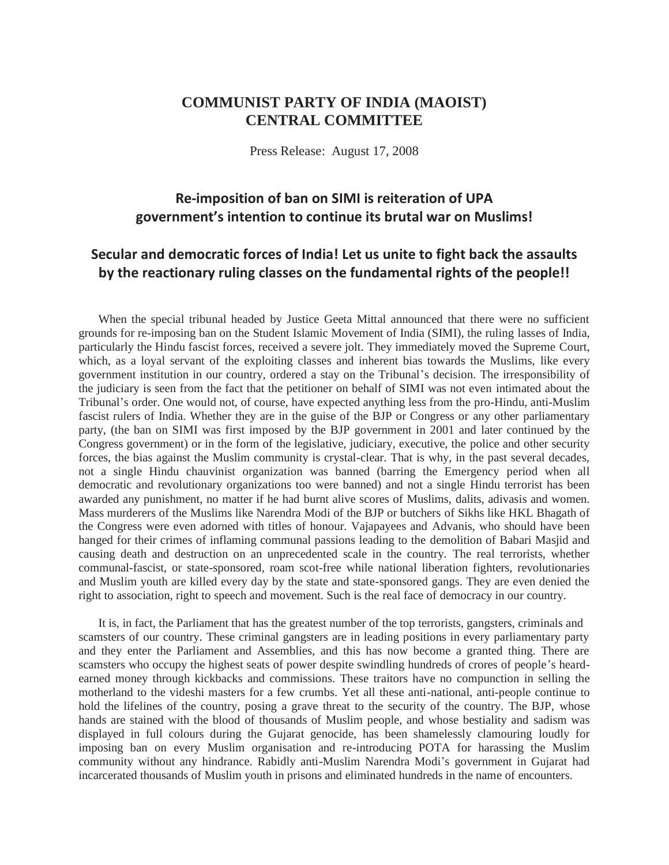## **COMMUNIST PARTY OF INDIA (MAOIST) CENTRAL COMMITTEE**

Press Release: August 17, 2008

## **Re-imposition of ban on SIMI is reiteration of UPA government's intention to continue its brutal war on Muslims!**

## **Secular and democratic forces of India! Let us unite to fight back the assaults by the reactionary ruling classes on the fundamental rights of the people!!**

When the special tribunal headed by Justice Geeta Mittal announced that there were no sufficient grounds for re-imposing ban on the Student Islamic Movement of India (SIMI), the ruling lasses of India, particularly the Hindu fascist forces, received a severe jolt. They immediately moved the Supreme Court, which, as a loyal servant of the exploiting classes and inherent bias towards the Muslims, like every government institution in our country, ordered a stay on the Tribunal"s decision. The irresponsibility of the judiciary is seen from the fact that the petitioner on behalf of SIMI was not even intimated about the Tribunal"s order. One would not, of course, have expected anything less from the pro-Hindu, anti-Muslim fascist rulers of India. Whether they are in the guise of the BJP or Congress or any other parliamentary party, (the ban on SIMI was first imposed by the BJP government in 2001 and later continued by the Congress government) or in the form of the legislative, judiciary, executive, the police and other security forces, the bias against the Muslim community is crystal-clear. That is why, in the past several decades, not a single Hindu chauvinist organization was banned (barring the Emergency period when all democratic and revolutionary organizations too were banned) and not a single Hindu terrorist has been awarded any punishment, no matter if he had burnt alive scores of Muslims, dalits, adivasis and women. Mass murderers of the Muslims like Narendra Modi of the BJP or butchers of Sikhs like HKL Bhagath of the Congress were even adorned with titles of honour. Vajapayees and Advanis, who should have been hanged for their crimes of inflaming communal passions leading to the demolition of Babari Masjid and causing death and destruction on an unprecedented scale in the country. The real terrorists, whether communal-fascist, or state-sponsored, roam scot-free while national liberation fighters, revolutionaries and Muslim youth are killed every day by the state and state-sponsored gangs. They are even denied the right to association, right to speech and movement. Such is the real face of democracy in our country.

It is, in fact, the Parliament that has the greatest number of the top terrorists, gangsters, criminals and scamsters of our country. These criminal gangsters are in leading positions in every parliamentary party and they enter the Parliament and Assemblies, and this has now become a granted thing. There are scamsters who occupy the highest seats of power despite swindling hundreds of crores of people"s heardearned money through kickbacks and commissions. These traitors have no compunction in selling the motherland to the videshi masters for a few crumbs. Yet all these anti-national, anti-people continue to hold the lifelines of the country, posing a grave threat to the security of the country. The BJP, whose hands are stained with the blood of thousands of Muslim people, and whose bestiality and sadism was displayed in full colours during the Gujarat genocide, has been shamelessly clamouring loudly for imposing ban on every Muslim organisation and re-introducing POTA for harassing the Muslim community without any hindrance. Rabidly anti-Muslim Narendra Modi"s government in Gujarat had incarcerated thousands of Muslim youth in prisons and eliminated hundreds in the name of encounters.